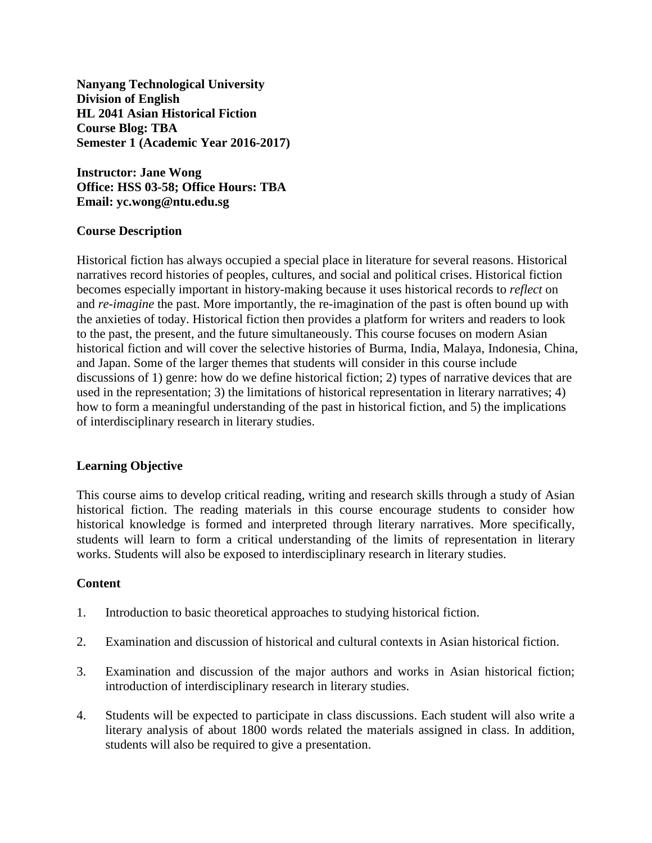**Nanyang Technological University Division of English HL 2041 Asian Historical Fiction Course Blog: TBA Semester 1 (Academic Year 2016-2017)**

**Instructor: Jane Wong Office: HSS 03-58; Office Hours: TBA Email: yc.wong@ntu.edu.sg**

# **Course Description**

Historical fiction has always occupied a special place in literature for several reasons. Historical narratives record histories of peoples, cultures, and social and political crises. Historical fiction becomes especially important in history-making because it uses historical records to *reflect* on and *re-imagine* the past. More importantly, the re-imagination of the past is often bound up with the anxieties of today. Historical fiction then provides a platform for writers and readers to look to the past, the present, and the future simultaneously. This course focuses on modern Asian historical fiction and will cover the selective histories of Burma, India, Malaya, Indonesia, China, and Japan. Some of the larger themes that students will consider in this course include discussions of 1) genre: how do we define historical fiction; 2) types of narrative devices that are used in the representation; 3) the limitations of historical representation in literary narratives; 4) how to form a meaningful understanding of the past in historical fiction, and 5) the implications of interdisciplinary research in literary studies.

# **Learning Objective**

This course aims to develop critical reading, writing and research skills through a study of Asian historical fiction. The reading materials in this course encourage students to consider how historical knowledge is formed and interpreted through literary narratives. More specifically, students will learn to form a critical understanding of the limits of representation in literary works. Students will also be exposed to interdisciplinary research in literary studies.

# **Content**

- 1. Introduction to basic theoretical approaches to studying historical fiction.
- 2. Examination and discussion of historical and cultural contexts in Asian historical fiction.
- 3. Examination and discussion of the major authors and works in Asian historical fiction; introduction of interdisciplinary research in literary studies.
- 4. Students will be expected to participate in class discussions. Each student will also write a literary analysis of about 1800 words related the materials assigned in class. In addition, students will also be required to give a presentation.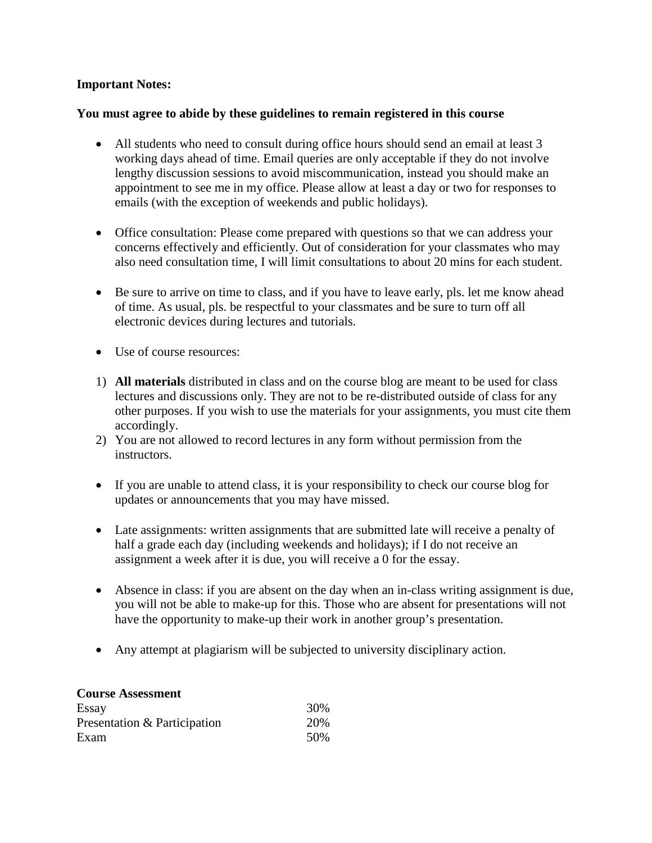# **Important Notes:**

# **You must agree to abide by these guidelines to remain registered in this course**

- All students who need to consult during office hours should send an email at least 3 working days ahead of time. Email queries are only acceptable if they do not involve lengthy discussion sessions to avoid miscommunication, instead you should make an appointment to see me in my office. Please allow at least a day or two for responses to emails (with the exception of weekends and public holidays).
- Office consultation: Please come prepared with questions so that we can address your concerns effectively and efficiently. Out of consideration for your classmates who may also need consultation time, I will limit consultations to about 20 mins for each student.
- Be sure to arrive on time to class, and if you have to leave early, pls. let me know ahead of time. As usual, pls. be respectful to your classmates and be sure to turn off all electronic devices during lectures and tutorials.
- Use of course resources:
- 1) **All materials** distributed in class and on the course blog are meant to be used for class lectures and discussions only. They are not to be re-distributed outside of class for any other purposes. If you wish to use the materials for your assignments, you must cite them accordingly.
- 2) You are not allowed to record lectures in any form without permission from the instructors.
- If you are unable to attend class, it is your responsibility to check our course blog for updates or announcements that you may have missed.
- Late assignments: written assignments that are submitted late will receive a penalty of half a grade each day (including weekends and holidays); if I do not receive an assignment a week after it is due, you will receive a 0 for the essay.
- Absence in class: if you are absent on the day when an in-class writing assignment is due, you will not be able to make-up for this. Those who are absent for presentations will not have the opportunity to make-up their work in another group's presentation.
- Any attempt at plagiarism will be subjected to university disciplinary action.

| <b>Course Assessment</b>     |      |
|------------------------------|------|
| Essay                        | 30%  |
| Presentation & Participation | 20%  |
| Exam                         | .50% |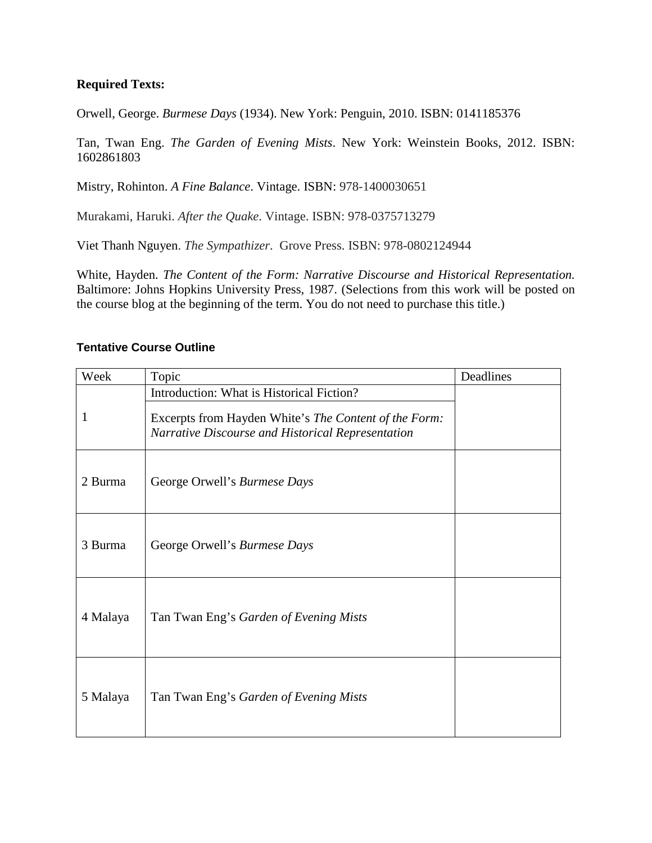# **Required Texts:**

Orwell, George. *Burmese Days* (1934). New York: Penguin, 2010. ISBN: 0141185376

Tan, Twan Eng. *The Garden of Evening Mists*. New York: Weinstein Books, 2012. ISBN: 1602861803

Mistry, Rohinton. *A Fine Balance*. Vintage. ISBN: 978-1400030651

Murakami, Haruki. *After the Quake*. Vintage. ISBN: 978-0375713279

Viet Thanh Nguyen. *The Sympathizer*. Grove Press. ISBN: 978-0802124944

White, Hayden. *The Content of the Form: Narrative Discourse and Historical Representation.* Baltimore: Johns Hopkins University Press, 1987. (Selections from this work will be posted on the course blog at the beginning of the term. You do not need to purchase this title.)

### **Tentative Course Outline**

| Week     | Topic                                                                                                                                                   | Deadlines |
|----------|---------------------------------------------------------------------------------------------------------------------------------------------------------|-----------|
| 1        | Introduction: What is Historical Fiction?<br>Excerpts from Hayden White's The Content of the Form:<br>Narrative Discourse and Historical Representation |           |
| 2 Burma  | George Orwell's Burmese Days                                                                                                                            |           |
| 3 Burma  | George Orwell's Burmese Days                                                                                                                            |           |
| 4 Malaya | Tan Twan Eng's Garden of Evening Mists                                                                                                                  |           |
| 5 Malaya | Tan Twan Eng's Garden of Evening Mists                                                                                                                  |           |